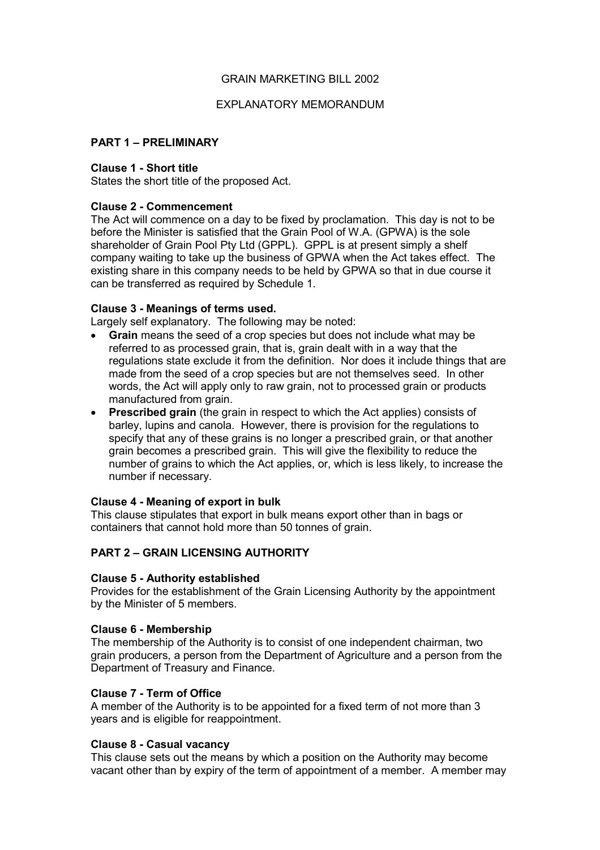## GRAIN MARKETING BILL 2002

## EXPLANATORY MEMORANDUM

# **PART 1 - PRELIMINARY**

### **Clause 1 - Short title**

States the short title of the proposed Act.

## **Clause 2 - Commencement**

The Act will commence on a day to be fixed by proclamation. This day is not to be before the Minister is satisfied that the Grain Pool of W.A. (GPWA) is the sole shareholder of Grain Pool Pty Ltd (GPPL). GPPL is at present simply a shelf company waiting to take up the business of GPWA when the Act takes effect. The existing share in this company needs to be held by GPWA so that in due course it can be transferred as required by Schedule 1.

### **Clause 3 - Meanings of terms used.**

Largely self explanatory. The following may be noted:

- **Grain** means the seed of a crop species but does not include what may be referred to as processed grain, that is, grain dealt with in a way that the regulations state exclude it from the definition. Nor does it include things that are made from the seed of a crop species but are not themselves seed. In other words, the Act will apply only to raw grain, not to processed grain or products manufactured from grain.
- **Prescribed grain** (the grain in respect to which the Act applies) consists of barley, lupins and canola. However, there is provision for the regulations to specify that any of these grains is no longer a prescribed grain, or that another grain becomes a prescribed grain. This will give the flexibility to reduce the number of grains to which the Act applies, or, which is less likely, to increase the number if necessary.

### **Clause 4 - Meaning of export in bulk**

This clause stipulates that export in bulk means export other than in bags or containers that cannot hold more than 50 tonnes of grain.

# **PART 2 - GRAIN LICENSING AUTHORITY**

# **Clause 5 - Authority established**

Provides for the establishment of the Grain Licensing Authority by the appointment by the Minister of 5 members.

### **Clause 6 - Membership**

The membership of the Authority is to consist of one independent chairman, two grain producers, a person from the Department of Agriculture and a person from the Department of Treasury and Finance.

# **Clause 7 - Term of Office**

A member of the Authority is to be appointed for a fixed term of not more than 3 years and is eligible for reappointment.

### **Clause 8 - Casual vacancy**

This clause sets out the means by which a position on the Authority may become vacant other than by expiry of the term of appointment of a member. A member may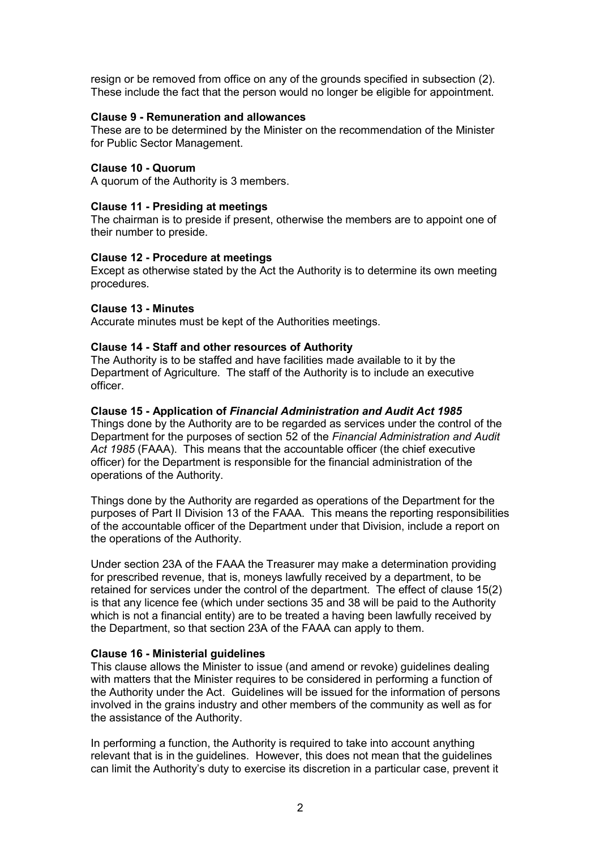resign or be removed from office on any of the grounds specified in subsection (2). These include the fact that the person would no longer be eligible for appointment.

### **Clause 9 - Remuneration and allowances**

These are to be determined by the Minister on the recommendation of the Minister for Public Sector Management.

### **Clause 10 - Quorum**

A quorum of the Authority is 3 members.

### **Clause 11 - Presiding at meetings**

The chairman is to preside if present, otherwise the members are to appoint one of their number to preside.

### **Clause 12 - Procedure at meetings**

Except as otherwise stated by the Act the Authority is to determine its own meeting procedures.

### **Clause 13 - Minutes**

Accurate minutes must be kept of the Authorities meetings.

### **Clause 14 - Staff and other resources of Authority**

The Authority is to be staffed and have facilities made available to it by the Department of Agriculture. The staff of the Authority is to include an executive officer.

### **Clause 15 - Application of** *Financial Administration and Audit Act 1985*

Things done by the Authority are to be regarded as services under the control of the Department for the purposes of section 52 of the *Financial Administration and Audit Act 1985* (FAAA). This means that the accountable officer (the chief executive officer) for the Department is responsible for the financial administration of the operations of the Authority.

Things done by the Authority are regarded as operations of the Department for the purposes of Part II Division 13 of the FAAA. This means the reporting responsibilities of the accountable officer of the Department under that Division, include a report on the operations of the Authority.

Under section 23A of the FAAA the Treasurer may make a determination providing for prescribed revenue, that is, moneys lawfully received by a department, to be retained for services under the control of the department. The effect of clause 15(2) is that any licence fee (which under sections 35 and 38 will be paid to the Authority which is not a financial entity) are to be treated a having been lawfully received by the Department, so that section 23A of the FAAA can apply to them.

# **Clause 16 - Ministerial guidelines**

This clause allows the Minister to issue (and amend or revoke) guidelines dealing with matters that the Minister requires to be considered in performing a function of the Authority under the Act. Guidelines will be issued for the information of persons involved in the grains industry and other members of the community as well as for the assistance of the Authority.

In performing a function, the Authority is required to take into account anything relevant that is in the guidelines. However, this does not mean that the guidelines can limit the Authorityís duty to exercise its discretion in a particular case, prevent it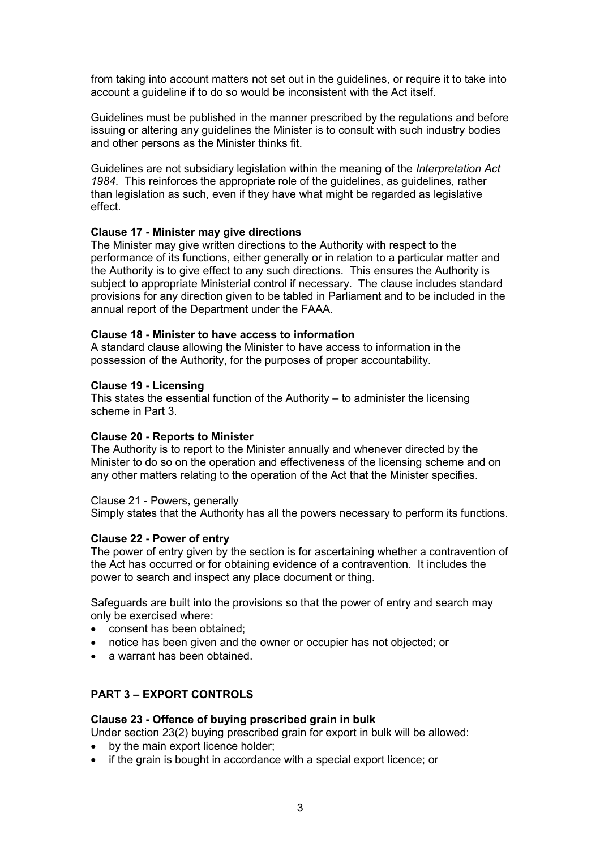from taking into account matters not set out in the guidelines, or require it to take into account a guideline if to do so would be inconsistent with the Act itself.

Guidelines must be published in the manner prescribed by the regulations and before issuing or altering any guidelines the Minister is to consult with such industry bodies and other persons as the Minister thinks fit.

Guidelines are not subsidiary legislation within the meaning of the *Interpretation Act 1984*. This reinforces the appropriate role of the guidelines, as guidelines, rather than legislation as such, even if they have what might be regarded as legislative effect.

### **Clause 17 - Minister may give directions**

The Minister may give written directions to the Authority with respect to the performance of its functions, either generally or in relation to a particular matter and the Authority is to give effect to any such directions. This ensures the Authority is subject to appropriate Ministerial control if necessary. The clause includes standard provisions for any direction given to be tabled in Parliament and to be included in the annual report of the Department under the FAAA.

### **Clause 18 - Minister to have access to information**

A standard clause allowing the Minister to have access to information in the possession of the Authority, for the purposes of proper accountability.

### **Clause 19 - Licensing**

This states the essential function of the Authority  $-$  to administer the licensing scheme in Part 3.

# **Clause 20 - Reports to Minister**

The Authority is to report to the Minister annually and whenever directed by the Minister to do so on the operation and effectiveness of the licensing scheme and on any other matters relating to the operation of the Act that the Minister specifies.

### Clause 21 - Powers, generally

Simply states that the Authority has all the powers necessary to perform its functions.

### **Clause 22 - Power of entry**

The power of entry given by the section is for ascertaining whether a contravention of the Act has occurred or for obtaining evidence of a contravention. It includes the power to search and inspect any place document or thing.

Safeguards are built into the provisions so that the power of entry and search may only be exercised where:

- consent has been obtained;
- notice has been given and the owner or occupier has not objected; or
- a warrant has been obtained.

# **PART 3 - EXPORT CONTROLS**

### **Clause 23 - Offence of buying prescribed grain in bulk**

Under section 23(2) buying prescribed grain for export in bulk will be allowed:

- by the main export licence holder;
- if the grain is bought in accordance with a special export licence; or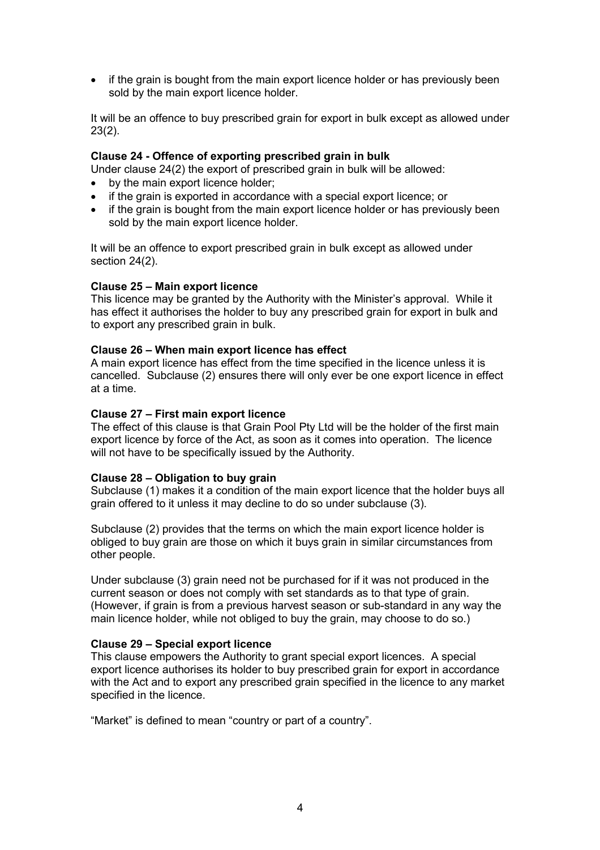• if the grain is bought from the main export licence holder or has previously been sold by the main export licence holder.

It will be an offence to buy prescribed grain for export in bulk except as allowed under 23(2).

## **Clause 24 - Offence of exporting prescribed grain in bulk**

Under clause 24(2) the export of prescribed grain in bulk will be allowed:

- by the main export licence holder:
- if the grain is exported in accordance with a special export licence; or
- if the grain is bought from the main export licence holder or has previously been sold by the main export licence holder.

It will be an offence to export prescribed grain in bulk except as allowed under section 24(2).

### **Clause 25 - Main export licence**

This licence may be granted by the Authority with the Ministerís approval. While it has effect it authorises the holder to buy any prescribed grain for export in bulk and to export any prescribed grain in bulk.

#### Clause 26 – When main export licence has effect

A main export licence has effect from the time specified in the licence unless it is cancelled. Subclause (2) ensures there will only ever be one export licence in effect at a time.

#### **Clause 27 - First main export licence**

The effect of this clause is that Grain Pool Pty Ltd will be the holder of the first main export licence by force of the Act, as soon as it comes into operation. The licence will not have to be specifically issued by the Authority.

### **Clause 28 – Obligation to buy grain**

Subclause (1) makes it a condition of the main export licence that the holder buys all grain offered to it unless it may decline to do so under subclause (3).

Subclause (2) provides that the terms on which the main export licence holder is obliged to buy grain are those on which it buys grain in similar circumstances from other people.

Under subclause (3) grain need not be purchased for if it was not produced in the current season or does not comply with set standards as to that type of grain. (However, if grain is from a previous harvest season or sub-standard in any way the main licence holder, while not obliged to buy the grain, may choose to do so.)

### **Clause 29 - Special export licence**

This clause empowers the Authority to grant special export licences. A special export licence authorises its holder to buy prescribed grain for export in accordance with the Act and to export any prescribed grain specified in the licence to any market specified in the licence.

"Market" is defined to mean "country or part of a country".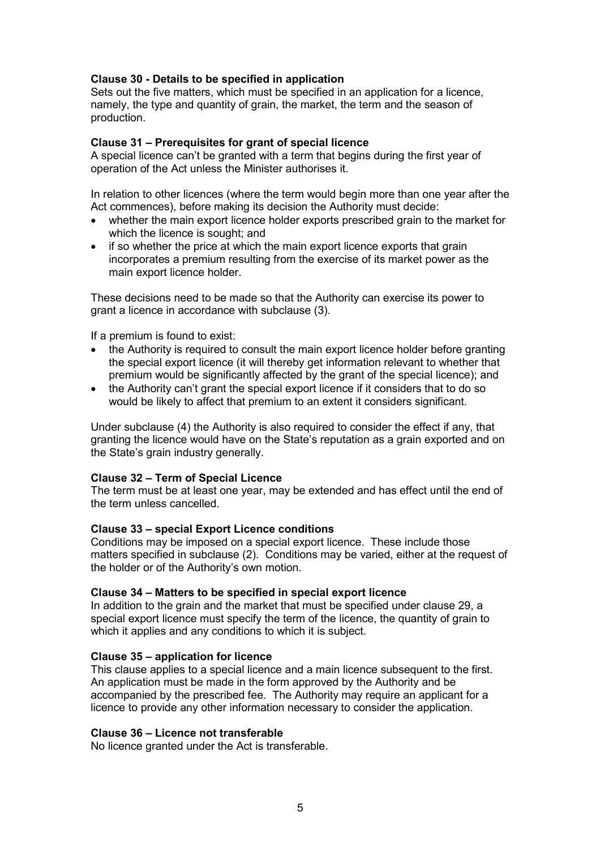# **Clause 30 - Details to be specified in application**

Sets out the five matters, which must be specified in an application for a licence, namely, the type and quantity of grain, the market, the term and the season of production.

## Clause 31 – Prerequisites for grant of special licence

A special licence canít be granted with a term that begins during the first year of operation of the Act unless the Minister authorises it.

In relation to other licences (where the term would begin more than one year after the Act commences), before making its decision the Authority must decide:

- whether the main export licence holder exports prescribed grain to the market for which the licence is sought; and
- if so whether the price at which the main export licence exports that grain incorporates a premium resulting from the exercise of its market power as the main export licence holder.

These decisions need to be made so that the Authority can exercise its power to grant a licence in accordance with subclause (3).

If a premium is found to exist:

- the Authority is required to consult the main export licence holder before granting the special export licence (it will thereby get information relevant to whether that premium would be significantly affected by the grant of the special licence); and
- the Authority can't grant the special export licence if it considers that to do so would be likely to affect that premium to an extent it considers significant.

Under subclause (4) the Authority is also required to consider the effect if any, that granting the licence would have on the State's reputation as a grain exported and on the State's grain industry generally.

### **Clause 32 – Term of Special Licence**

The term must be at least one year, may be extended and has effect until the end of the term unless cancelled.

### **Clause 33 - special Export Licence conditions**

Conditions may be imposed on a special export licence. These include those matters specified in subclause (2). Conditions may be varied, either at the request of the holder or of the Authority's own motion.

### **Clause 34 – Matters to be specified in special export licence**

In addition to the grain and the market that must be specified under clause 29, a special export licence must specify the term of the licence, the quantity of grain to which it applies and any conditions to which it is subject.

### **Clause 35 – application for licence**

This clause applies to a special licence and a main licence subsequent to the first. An application must be made in the form approved by the Authority and be accompanied by the prescribed fee. The Authority may require an applicant for a licence to provide any other information necessary to consider the application.

### **Clause 36 – Licence not transferable**

No licence granted under the Act is transferable.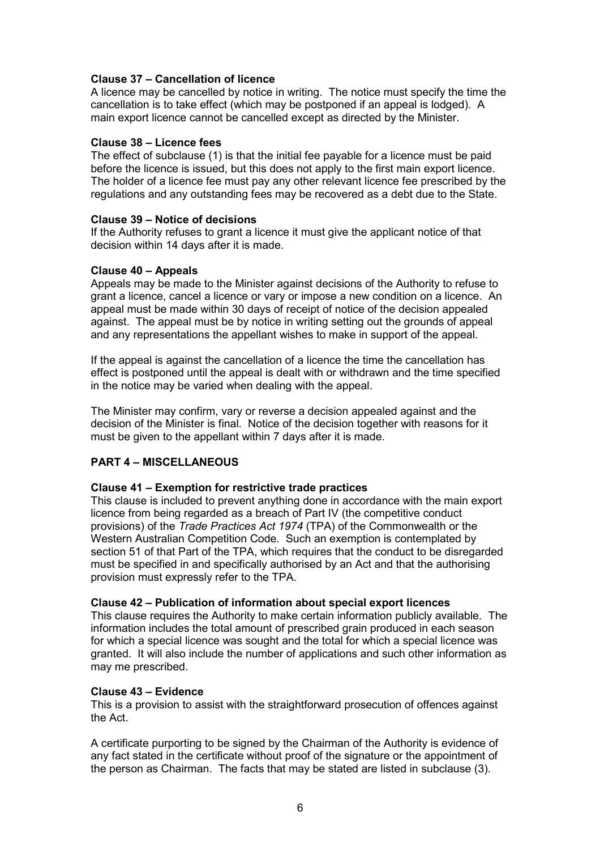# **Clause 37 - Cancellation of licence**

A licence may be cancelled by notice in writing. The notice must specify the time the cancellation is to take effect (which may be postponed if an appeal is lodged). A main export licence cannot be cancelled except as directed by the Minister.

## **Clause 38 - Licence fees**

The effect of subclause (1) is that the initial fee payable for a licence must be paid before the licence is issued, but this does not apply to the first main export licence. The holder of a licence fee must pay any other relevant licence fee prescribed by the regulations and any outstanding fees may be recovered as a debt due to the State.

### **Clause 39 - Notice of decisions**

If the Authority refuses to grant a licence it must give the applicant notice of that decision within 14 days after it is made.

### **Clause 40 – Appeals**

Appeals may be made to the Minister against decisions of the Authority to refuse to grant a licence, cancel a licence or vary or impose a new condition on a licence. An appeal must be made within 30 days of receipt of notice of the decision appealed against. The appeal must be by notice in writing setting out the grounds of appeal and any representations the appellant wishes to make in support of the appeal.

If the appeal is against the cancellation of a licence the time the cancellation has effect is postponed until the appeal is dealt with or withdrawn and the time specified in the notice may be varied when dealing with the appeal.

The Minister may confirm, vary or reverse a decision appealed against and the decision of the Minister is final. Notice of the decision together with reasons for it must be given to the appellant within 7 days after it is made.

# **PART 4 - MISCELLANEOUS**

# Clause 41 – Exemption for restrictive trade practices

This clause is included to prevent anything done in accordance with the main export licence from being regarded as a breach of Part IV (the competitive conduct provisions) of the *Trade Practices Act 1974* (TPA) of the Commonwealth or the Western Australian Competition Code. Such an exemption is contemplated by section 51 of that Part of the TPA, which requires that the conduct to be disregarded must be specified in and specifically authorised by an Act and that the authorising provision must expressly refer to the TPA.

# **Clause 42 – Publication of information about special export licences**

This clause requires the Authority to make certain information publicly available. The information includes the total amount of prescribed grain produced in each season for which a special licence was sought and the total for which a special licence was granted. It will also include the number of applications and such other information as may me prescribed.

### **Clause 43 – Evidence**

This is a provision to assist with the straightforward prosecution of offences against the Act.

A certificate purporting to be signed by the Chairman of the Authority is evidence of any fact stated in the certificate without proof of the signature or the appointment of the person as Chairman. The facts that may be stated are listed in subclause (3).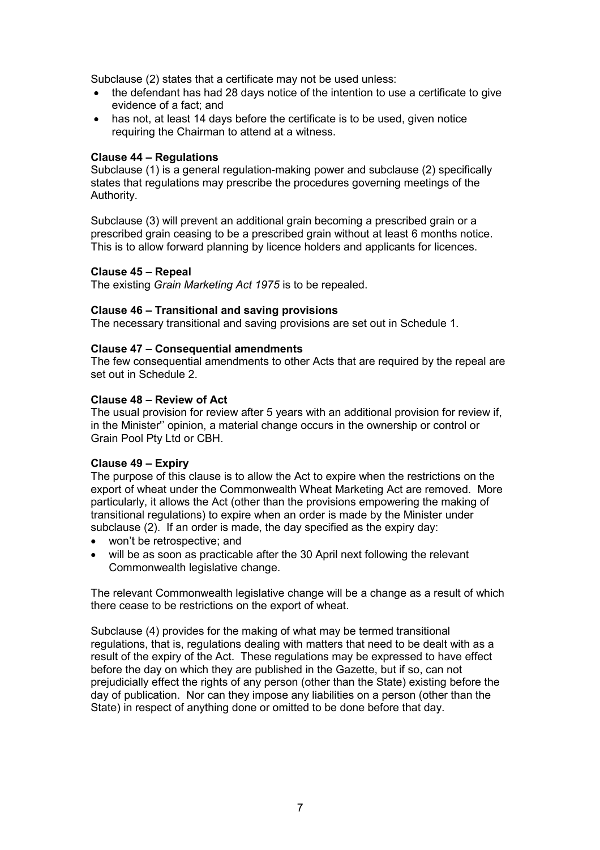Subclause (2) states that a certificate may not be used unless:

- the defendant has had 28 days notice of the intention to use a certificate to give evidence of a fact; and
- has not, at least 14 days before the certificate is to be used, given notice requiring the Chairman to attend at a witness.

## **Clause 44 – Regulations**

Subclause (1) is a general regulation-making power and subclause (2) specifically states that regulations may prescribe the procedures governing meetings of the Authority.

Subclause (3) will prevent an additional grain becoming a prescribed grain or a prescribed grain ceasing to be a prescribed grain without at least 6 months notice. This is to allow forward planning by licence holders and applicants for licences.

### **Clause 45 – Repeal**

The existing *Grain Marketing Act 1975* is to be repealed.

# **Clause 46 – Transitional and saving provisions**

The necessary transitional and saving provisions are set out in Schedule 1.

### **Clause 47 – Consequential amendments**

The few consequential amendments to other Acts that are required by the repeal are set out in Schedule 2.

### **Clause 48 – Review of Act**

The usual provision for review after 5 years with an additional provision for review if, in the Minister" opinion, a material change occurs in the ownership or control or Grain Pool Pty Ltd or CBH.

# **Clause 49 – Expiry**

The purpose of this clause is to allow the Act to expire when the restrictions on the export of wheat under the Commonwealth Wheat Marketing Act are removed. More particularly, it allows the Act (other than the provisions empowering the making of transitional regulations) to expire when an order is made by the Minister under subclause (2). If an order is made, the day specified as the expiry day:

- won't be retrospective; and
- will be as soon as practicable after the 30 April next following the relevant Commonwealth legislative change.

The relevant Commonwealth legislative change will be a change as a result of which there cease to be restrictions on the export of wheat.

Subclause (4) provides for the making of what may be termed transitional regulations, that is, regulations dealing with matters that need to be dealt with as a result of the expiry of the Act. These regulations may be expressed to have effect before the day on which they are published in the Gazette, but if so, can not prejudicially effect the rights of any person (other than the State) existing before the day of publication. Nor can they impose any liabilities on a person (other than the State) in respect of anything done or omitted to be done before that day.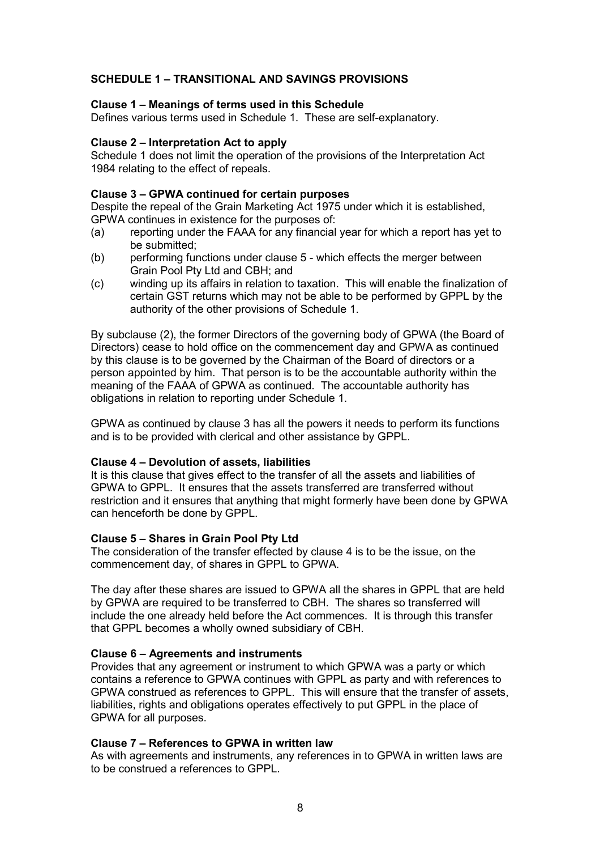# **SCHEDULE 1 - TRANSITIONAL AND SAVINGS PROVISIONS**

### **Clause 1 – Meanings of terms used in this Schedule**

Defines various terms used in Schedule 1. These are self-explanatory.

### **Clause 2 – Interpretation Act to apply**

Schedule 1 does not limit the operation of the provisions of the Interpretation Act 1984 relating to the effect of repeals.

### Clause 3 – GPWA continued for certain purposes

Despite the repeal of the Grain Marketing Act 1975 under which it is established, GPWA continues in existence for the purposes of:

- (a) reporting under the FAAA for any financial year for which a report has yet to be submitted;
- (b) performing functions under clause 5 which effects the merger between Grain Pool Pty Ltd and CBH; and
- (c) winding up its affairs in relation to taxation. This will enable the finalization of certain GST returns which may not be able to be performed by GPPL by the authority of the other provisions of Schedule 1.

By subclause (2), the former Directors of the governing body of GPWA (the Board of Directors) cease to hold office on the commencement day and GPWA as continued by this clause is to be governed by the Chairman of the Board of directors or a person appointed by him. That person is to be the accountable authority within the meaning of the FAAA of GPWA as continued. The accountable authority has obligations in relation to reporting under Schedule 1.

GPWA as continued by clause 3 has all the powers it needs to perform its functions and is to be provided with clerical and other assistance by GPPL.

### **Clause 4 – Devolution of assets, liabilities**

It is this clause that gives effect to the transfer of all the assets and liabilities of GPWA to GPPL. It ensures that the assets transferred are transferred without restriction and it ensures that anything that might formerly have been done by GPWA can henceforth be done by GPPL.

### **Clause 5 - Shares in Grain Pool Pty Ltd**

The consideration of the transfer effected by clause 4 is to be the issue, on the commencement day, of shares in GPPL to GPWA.

The day after these shares are issued to GPWA all the shares in GPPL that are held by GPWA are required to be transferred to CBH. The shares so transferred will include the one already held before the Act commences. It is through this transfer that GPPL becomes a wholly owned subsidiary of CBH.

# Clause 6 – Agreements and instruments

Provides that any agreement or instrument to which GPWA was a party or which contains a reference to GPWA continues with GPPL as party and with references to GPWA construed as references to GPPL. This will ensure that the transfer of assets, liabilities, rights and obligations operates effectively to put GPPL in the place of GPWA for all purposes.

### **Clause 7 - References to GPWA in written law**

As with agreements and instruments, any references in to GPWA in written laws are to be construed a references to GPPL.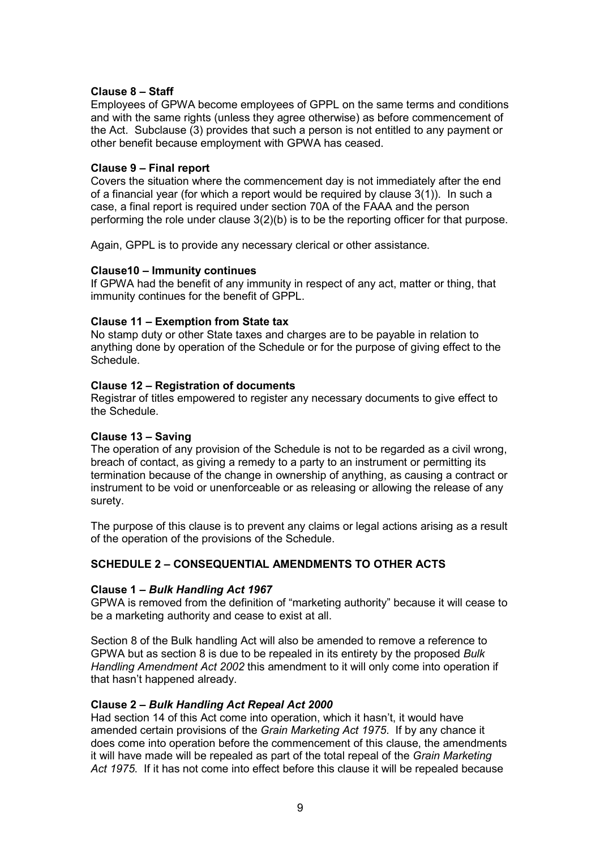# **Clause 8 - Staff**

Employees of GPWA become employees of GPPL on the same terms and conditions and with the same rights (unless they agree otherwise) as before commencement of the Act. Subclause (3) provides that such a person is not entitled to any payment or other benefit because employment with GPWA has ceased.

# **Clause 9 – Final report**

Covers the situation where the commencement day is not immediately after the end of a financial year (for which a report would be required by clause 3(1)). In such a case, a final report is required under section 70A of the FAAA and the person performing the role under clause 3(2)(b) is to be the reporting officer for that purpose.

Again, GPPL is to provide any necessary clerical or other assistance.

### **Clause10 - Immunity continues**

If GPWA had the benefit of any immunity in respect of any act, matter or thing, that immunity continues for the benefit of GPPL.

# **Clause 11 – Exemption from State tax**

No stamp duty or other State taxes and charges are to be payable in relation to anything done by operation of the Schedule or for the purpose of giving effect to the Schedule.

# **Clause 12 – Registration of documents**

Registrar of titles empowered to register any necessary documents to give effect to the Schedule.

# **Clause 13 - Saving**

The operation of any provision of the Schedule is not to be regarded as a civil wrong, breach of contact, as giving a remedy to a party to an instrument or permitting its termination because of the change in ownership of anything, as causing a contract or instrument to be void or unenforceable or as releasing or allowing the release of any surety.

The purpose of this clause is to prevent any claims or legal actions arising as a result of the operation of the provisions of the Schedule.

# **SCHEDULE 2 - CONSEQUENTIAL AMENDMENTS TO OTHER ACTS**

### Clause 1 – Bulk Handling Act 1967

GPWA is removed from the definition of "marketing authority" because it will cease to be a marketing authority and cease to exist at all.

Section 8 of the Bulk handling Act will also be amended to remove a reference to GPWA but as section 8 is due to be repealed in its entirety by the proposed *Bulk Handling Amendment Act 2002* this amendment to it will only come into operation if that hasn't happened already.

# **Clause 2 – Bulk Handling Act Repeal Act 2000**

Had section 14 of this Act come into operation, which it hasn't, it would have amended certain provisions of the *Grain Marketing Act 1975*. If by any chance it does come into operation before the commencement of this clause, the amendments it will have made will be repealed as part of the total repeal of the *Grain Marketing Act 1975*. If it has not come into effect before this clause it will be repealed because